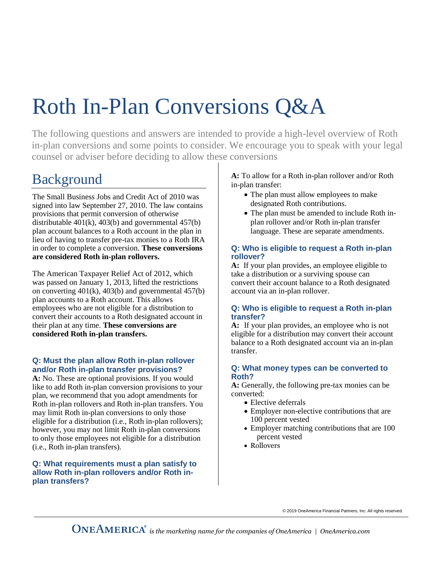# Roth In-Plan Conversions Q&A

The following questions and answers are intended to provide a high-level overview of Roth in-plan conversions and some points to consider. We encourage you to speak with your legal counsel or adviser before deciding to allow these conversions

# Background

The Small Business Jobs and Credit Act of 2010 was signed into law September 27, 2010. The law contains provisions that permit conversion of otherwise distributable  $401(k)$ ,  $403(b)$  and governmental  $457(b)$ plan account balances to a Roth account in the plan in lieu of having to transfer pre-tax monies to a Roth IRA in order to complete a conversion. **These conversions are considered Roth in-plan rollovers.**

The American Taxpayer Relief Act of 2012, which was passed on January 1, 2013, lifted the restrictions on converting 401(k), 403(b) and governmental 457(b) plan accounts to a Roth account. This allows employees who are not eligible for a distribution to convert their accounts to a Roth designated account in their plan at any time. **These conversions are considered Roth in-plan transfers.**

## **Q: Must the plan allow Roth in-plan rollover and/or Roth in-plan transfer provisions?**

**A:** No. These are optional provisions. If you would like to add Roth in-plan conversion provisions to your plan, we recommend that you adopt amendments for Roth in-plan rollovers and Roth in-plan transfers. You may limit Roth in-plan conversions to only those eligible for a distribution (i.e., Roth in-plan rollovers); however, you may not limit Roth in-plan conversions to only those employees not eligible for a distribution (i.e., Roth in-plan transfers).

#### **Q: What requirements must a plan satisfy to allow Roth in-plan rollovers and/or Roth inplan transfers?**

**A:** To allow for a Roth in-plan rollover and/or Roth in-plan transfer:

- The plan must allow employees to make designated Roth contributions.
- The plan must be amended to include Roth inplan rollover and/or Roth in-plan transfer language. These are separate amendments.

#### **Q: Who is eligible to request a Roth in-plan rollover?**

**A:** If your plan provides, an employee eligible to take a distribution or a surviving spouse can convert their account balance to a Roth designated account via an in-plan rollover.

#### **Q: Who is eligible to request a Roth in-plan transfer?**

**A:** If your plan provides, an employee who is not eligible for a distribution may convert their account balance to a Roth designated account via an in-plan transfer.

#### **Q: What money types can be converted to Roth?**

**A:** Generally, the following pre-tax monies can be converted:

- Elective deferrals
- Employer non-elective contributions that are 100 percent vested
- Employer matching contributions that are 100 percent vested
- Rollovers

© 2019 OneAmerica Financial Partners, Inc. All rights reserved.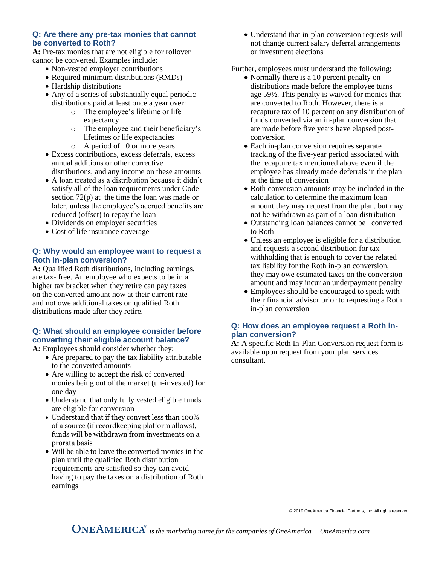#### **Q: Are there any pre-tax monies that cannot be converted to Roth?**

**A:** Pre-tax monies that are not eligible for rollover cannot be converted. Examples include:

- Non-vested employer contributions
- Required minimum distributions (RMDs)
- Hardship distributions
- Any of a series of substantially equal periodic distributions paid at least once a year over:
	- o The employee's lifetime or life expectancy
	- o The employee and their beneficiary's lifetimes or life expectancies
	- o A period of 10 or more years
- Excess contributions, excess deferrals, excess annual additions or other corrective distributions, and any income on these amounts
- A loan treated as a distribution because it didn't satisfy all of the loan requirements under Code section 72(p) at the time the loan was made or later, unless the employee's accrued benefits are reduced (offset) to repay the loan
- Dividends on employer securities
- Cost of life insurance coverage

#### **Q: Why would an employee want to request a Roth in-plan conversion?**

**A:** Qualified Roth distributions, including earnings, are tax- free. An employee who expects to be in a higher tax bracket when they retire can pay taxes on the converted amount now at their current rate and not owe additional taxes on qualified Roth distributions made after they retire.

# **Q: What should an employee consider before converting their eligible account balance?**

**A:** Employees should consider whether they:

- Are prepared to pay the tax liability attributable to the converted amounts
- Are willing to accept the risk of converted monies being out of the market (un-invested) for one day
- Understand that only fully vested eligible funds are eligible for conversion
- Understand that if they convert less than 100% of a source (if recordkeeping platform allows), funds will be withdrawn from investments on a prorata basis
- Will be able to leave the converted monies in the plan until the qualified Roth distribution requirements are satisfied so they can avoid having to pay the taxes on a distribution of Roth earnings

• Understand that in-plan conversion requests will not change current salary deferral arrangements or investment elections

Further, employees must understand the following:

- Normally there is a 10 percent penalty on distributions made before the employee turns age 59½. This penalty is waived for monies that are converted to Roth. However, there is a recapture tax of 10 percent on any distribution of funds converted via an in-plan conversion that are made before five years have elapsed postconversion
- Each in-plan conversion requires separate tracking of the five-year period associated with the recapture tax mentioned above even if the employee has already made deferrals in the plan at the time of conversion
- Roth conversion amounts may be included in the calculation to determine the maximum loan amount they may request from the plan, but may not be withdrawn as part of a loan distribution
- Outstanding loan balances cannot be converted to Roth
- Unless an employee is eligible for a distribution and requests a second distribution for tax withholding that is enough to cover the related tax liability for the Roth in-plan conversion, they may owe estimated taxes on the conversion amount and may incur an underpayment penalty
- Employees should be encouraged to speak with their financial advisor prior to requesting a Roth in-plan conversion

## **Q: How does an employee request a Roth inplan conversion?**

**A:** A specific Roth In-Plan Conversion request form is available upon request from your plan services consultant.

© 2019 OneAmerica Financial Partners, Inc. All rights reserved.